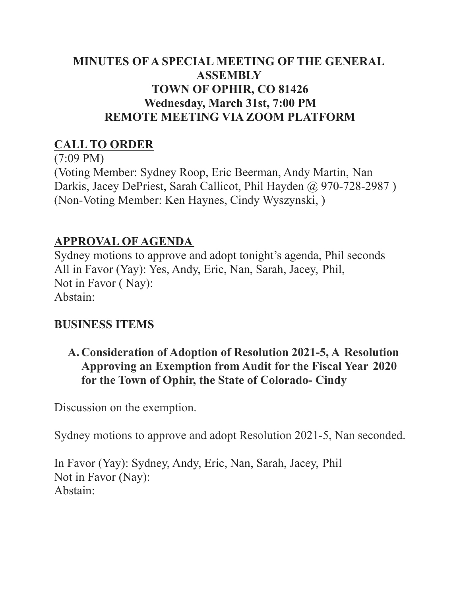## **MINUTES OF A SPECIAL MEETING OF THE GENERAL ASSEMBLY TOWN OF OPHIR, CO 81426 Wednesday, March 31st, 7:00 PM REMOTE MEETING VIA ZOOM PLATFORM**

## **CALL TO ORDER**

(7:09 PM) (Voting Member: Sydney Roop, Eric Beerman, Andy Martin, Nan Darkis, Jacey DePriest, Sarah Callicot, Phil Hayden @ 970-728-2987) (Non-Voting Member: Ken Haynes, Cindy Wyszynski, )

# **APPROVAL OF AGENDA**

Sydney motions to approve and adopt tonight's agenda, Phil seconds All in Favor (Yay): Yes, Andy, Eric, Nan, Sarah, Jacey, Phil, Not in Favor ( Nay): Abstain:

# **BUSINESS ITEMS**

## **A. Consideration of Adoption of Resolution 2021-5, A Resolution Approving an Exemption from Audit for the Fiscal Year 2020 for the Town of Ophir, the State of Colorado- Cindy**

Discussion on the exemption.

Sydney motions to approve and adopt Resolution 2021-5, Nan seconded.

In Favor (Yay): Sydney, Andy, Eric, Nan, Sarah, Jacey, Phil Not in Favor (Nay): Abstain: